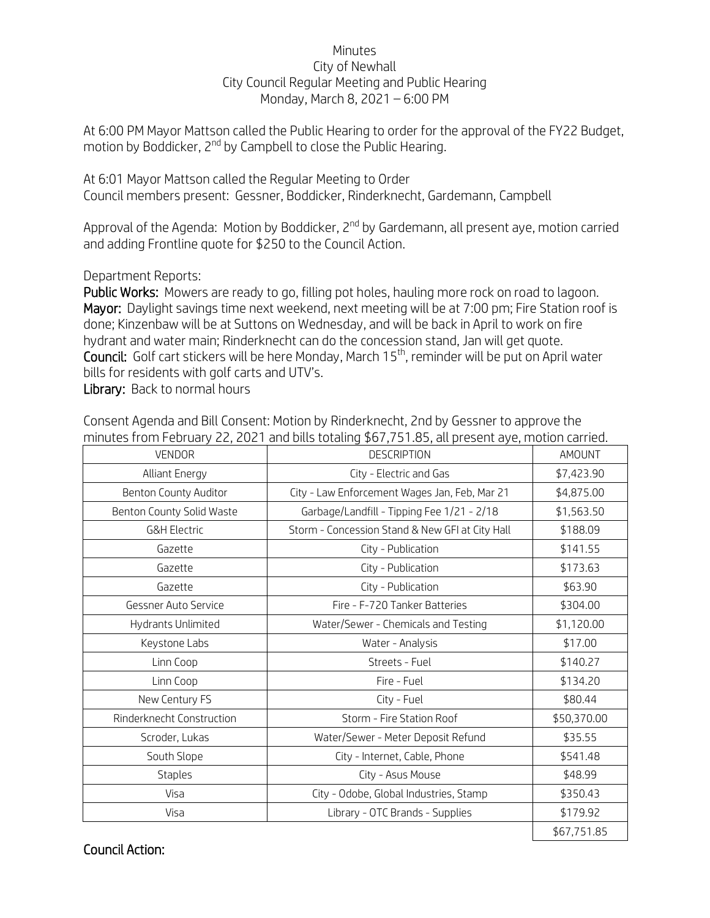## Minutes City of Newhall City Council Regular Meeting and Public Hearing Monday, March 8, 2021 – 6:00 PM

At 6:00 PM Mayor Mattson called the Public Hearing to order for the approval of the FY22 Budget, motion by Boddicker, 2<sup>nd</sup> by Campbell to close the Public Hearing.

At 6:01 Mayor Mattson called the Regular Meeting to Order Council members present: Gessner, Boddicker, Rinderknecht, Gardemann, Campbell

Approval of the Agenda: Motion by Boddicker,  $2^{nd}$  by Gardemann, all present aye, motion carried and adding Frontline quote for \$250 to the Council Action.

Department Reports:

Public Works: Mowers are ready to go, filling pot holes, hauling more rock on road to lagoon. Mayor: Daylight savings time next weekend, next meeting will be at 7:00 pm; Fire Station roof is done; Kinzenbaw will be at Suttons on Wednesday, and will be back in April to work on fire hydrant and water main; Rinderknecht can do the concession stand, Jan will get quote. Council: Golf cart stickers will be here Monday, March 15th, reminder will be put on April water bills for residents with golf carts and UTV's.

Library: Back to normal hours

Consent Agenda and Bill Consent: Motion by Rinderknecht, 2nd by Gessner to approve the minutes from February 22, 2021 and bills totaling \$67,751.85, all present aye, motion carried.

| VENDOR                    | <b>DESCRIPTION</b>                              | <b>AMOUNT</b> |
|---------------------------|-------------------------------------------------|---------------|
| <b>Alliant Energy</b>     | City - Electric and Gas                         | \$7,423.90    |
| Benton County Auditor     | City - Law Enforcement Wages Jan, Feb, Mar 21   | \$4,875.00    |
| Benton County Solid Waste | Garbage/Landfill - Tipping Fee 1/21 - 2/18      | \$1,563.50    |
| <b>G&amp;H Electric</b>   | Storm - Concession Stand & New GFI at City Hall | \$188.09      |
| Gazette                   | City - Publication                              | \$141.55      |
| Gazette                   | City - Publication                              | \$173.63      |
| Gazette                   | City - Publication                              | \$63.90       |
| Gessner Auto Service      | Fire - F-720 Tanker Batteries                   | \$304.00      |
| Hydrants Unlimited        | Water/Sewer - Chemicals and Testing             | \$1,120.00    |
| Keystone Labs             | Water - Analysis                                | \$17.00       |
| Linn Coop                 | Streets - Fuel                                  | \$140.27      |
| Linn Coop                 | Fire - Fuel                                     | \$134.20      |
| New Century FS            | City - Fuel                                     | \$80.44       |
| Rinderknecht Construction | Storm - Fire Station Roof                       | \$50,370.00   |
| Scroder, Lukas            | Water/Sewer - Meter Deposit Refund              | \$35.55       |
| South Slope               | City - Internet, Cable, Phone                   | \$541.48      |
| <b>Staples</b>            | City - Asus Mouse                               | \$48.99       |
| Visa                      | City - Odobe, Global Industries, Stamp          | \$350.43      |
| Visa                      | Library - OTC Brands - Supplies                 | \$179.92      |
|                           |                                                 | \$67,751.85   |

Council Action: